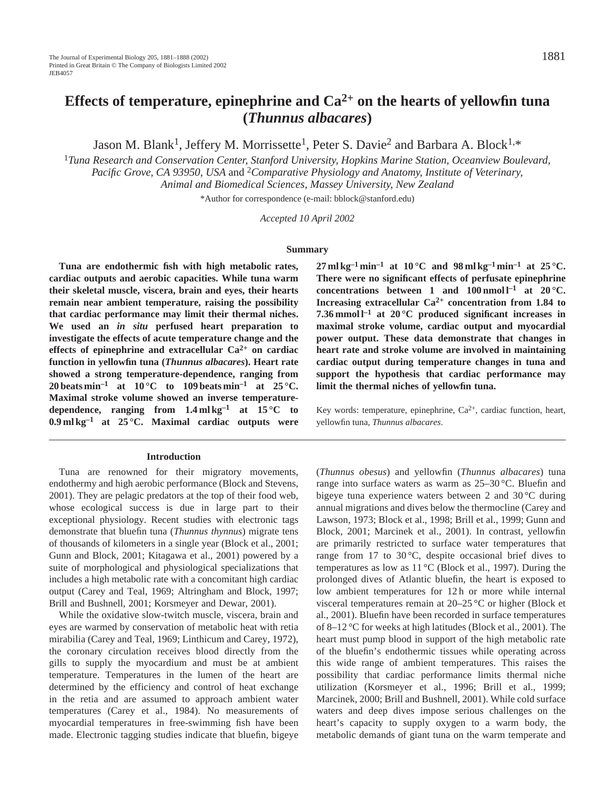# **Effects of temperature, epinephrine and**  $Ca^{2+}$  **on the hearts of yellowfin tuna (***Thunnus albacares***)**

Jason M. Blank<sup>1</sup>, Jeffery M. Morrissette<sup>1</sup>, Peter S. Davie<sup>2</sup> and Barbara A. Block<sup>1,\*</sup>

<sup>1</sup>*Tuna Research and Conservation Center, Stanford University, Hopkins Marine Station, Oceanview Boulevard, Pacific Grove, CA 93950, USA* and 2*Comparative Physiology and Anatomy, Institute of Veterinary, Animal and Biomedical Sciences, Massey University, New Zealand*

\*Author for correspondence (e-mail: bblock@stanford.edu)

*Accepted 10 April 2002*

#### **Summary**

**Tuna are endothermic fish with high metabolic rates, cardiac outputs and aerobic capacities. While tuna warm their skeletal muscle, viscera, brain and eyes, their hearts remain near ambient temperature, raising the possibility that cardiac performance may limit their thermal niches. We used an** *in situ* **perfused heart preparation to investigate the effects of acute temperature change and the effects of epinephrine and extracellular Ca2+ on cardiac function in yellowfin tuna (***Thunnus albacares***). Heart rate showed a strong temperature-dependence, ranging from 20 beats min<sup>-1</sup> at**  $10^{\circ}$ **C to**  $109$  **beats min<sup>-1</sup> at 25 °C. Maximal stroke volume showed an inverse temperaturedependence, ranging from 1.4 ml kg–1 at 15 °C to 0.9 ml kg–1 at 25 °C. Maximal cardiac outputs were**

#### **Introduction**

Tuna are renowned for their migratory movements, endothermy and high aerobic performance (Block and Stevens, 2001). They are pelagic predators at the top of their food web, whose ecological success is due in large part to their exceptional physiology. Recent studies with electronic tags demonstrate that bluefin tuna (*Thunnus thynnus*) migrate tens of thousands of kilometers in a single year (Block et al., 2001; Gunn and Block, 2001; Kitagawa et al., 2001) powered by a suite of morphological and physiological specializations that includes a high metabolic rate with a concomitant high cardiac output (Carey and Teal, 1969; Altringham and Block, 1997; Brill and Bushnell, 2001; Korsmeyer and Dewar, 2001).

While the oxidative slow-twitch muscle, viscera, brain and eyes are warmed by conservation of metabolic heat with retia mirabilia (Carey and Teal, 1969; Linthicum and Carey, 1972), the coronary circulation receives blood directly from the gills to supply the myocardium and must be at ambient temperature. Temperatures in the lumen of the heart are determined by the efficiency and control of heat exchange in the retia and are assumed to approach ambient water temperatures (Carey et al., 1984). No measurements of myocardial temperatures in free-swimming fish have been made. Electronic tagging studies indicate that bluefin, bigeye

**27** ml kg<sup>-1</sup> min<sup>-1</sup> at 10 °C and 98 ml kg<sup>-1</sup> min<sup>-1</sup> at 25 °C. **There were no significant effects of perfusate epinephrine** concentrations between 1 and  $100$  nmol  $l^{-1}$  at  $20^{\circ}$ C. **Increasing extracellular Ca2+ concentration from 1.84 to 7.36 mmol l–1 at 20 °C produced significant increases in maximal stroke volume, cardiac output and myocardial power output. These data demonstrate that changes in heart rate and stroke volume are involved in maintaining cardiac output during temperature changes in tuna and support the hypothesis that cardiac performance may limit the thermal niches of yellowfin tuna.**

Key words: temperature, epinephrine,  $Ca^{2+}$ , cardiac function, heart, yellowfin tuna, *Thunnus albacares*.

(*Thunnus obesus*) and yellowfin (*Thunnus albacares*) tuna range into surface waters as warm as 25–30 °C. Bluefin and bigeye tuna experience waters between 2 and 30 °C during annual migrations and dives below the thermocline (Carey and Lawson, 1973; Block et al., 1998; Brill et al., 1999; Gunn and Block, 2001; Marcinek et al., 2001). In contrast, yellowfin are primarily restricted to surface water temperatures that range from 17 to 30 $\degree$ C, despite occasional brief dives to temperatures as low as 11 °C (Block et al., 1997). During the prolonged dives of Atlantic bluefin, the heart is exposed to low ambient temperatures for 12 h or more while internal visceral temperatures remain at 20–25 °C or higher (Block et al., 2001). Bluefin have been recorded in surface temperatures of 8–12 °C for weeks at high latitudes (Block et al., 2001). The heart must pump blood in support of the high metabolic rate of the bluefin's endothermic tissues while operating across this wide range of ambient temperatures. This raises the possibility that cardiac performance limits thermal niche utilization (Korsmeyer et al., 1996; Brill et al., 1999; Marcinek, 2000; Brill and Bushnell, 2001). While cold surface waters and deep dives impose serious challenges on the heart's capacity to supply oxygen to a warm body, the metabolic demands of giant tuna on the warm temperate and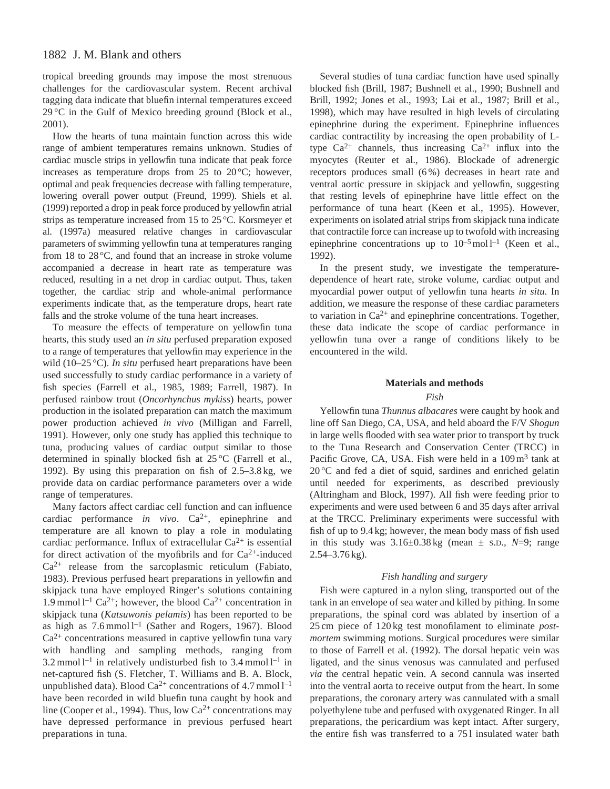# 1882 J. M. Blank and others

tropical breeding grounds may impose the most strenuous challenges for the cardiovascular system. Recent archival tagging data indicate that bluefin internal temperatures exceed  $29^{\circ}$ C in the Gulf of Mexico breeding ground (Block et al., 2001).

How the hearts of tuna maintain function across this wide range of ambient temperatures remains unknown. Studies of cardiac muscle strips in yellowfin tuna indicate that peak force increases as temperature drops from  $25$  to  $20^{\circ}$ C; however, optimal and peak frequencies decrease with falling temperature, lowering overall power output (Freund, 1999). Shiels et al. (1999) reported a drop in peak force produced by yellowfin atrial strips as temperature increased from 15 to 25 °C. Korsmeyer et al. (1997a) measured relative changes in cardiovascular parameters of swimming yellowfin tuna at temperatures ranging from 18 to 28 °C, and found that an increase in stroke volume accompanied a decrease in heart rate as temperature was reduced, resulting in a net drop in cardiac output. Thus, taken together, the cardiac strip and whole-animal performance experiments indicate that, as the temperature drops, heart rate falls and the stroke volume of the tuna heart increases.

To measure the effects of temperature on yellowfin tuna hearts, this study used an *in situ* perfused preparation exposed to a range of temperatures that yellowfin may experience in the wild (10–25 °C). *In situ* perfused heart preparations have been used successfully to study cardiac performance in a variety of fish species (Farrell et al., 1985, 1989; Farrell, 1987). In perfused rainbow trout (*Oncorhynchus mykiss*) hearts, power production in the isolated preparation can match the maximum power production achieved *in vivo* (Milligan and Farrell, 1991). However, only one study has applied this technique to tuna, producing values of cardiac output similar to those determined in spinally blocked fish at 25 °C (Farrell et al., 1992). By using this preparation on fish of 2.5–3.8 kg, we provide data on cardiac performance parameters over a wide range of temperatures.

Many factors affect cardiac cell function and can influence cardiac performance *in vivo*. Ca2+, epinephrine and temperature are all known to play a role in modulating cardiac performance. Influx of extracellular  $Ca^{2+}$  is essential for direct activation of the myofibrils and for  $Ca^{2+}$ -induced  $Ca^{2+}$  release from the sarcoplasmic reticulum (Fabiato, 1983). Previous perfused heart preparations in yellowfin and skipjack tuna have employed Ringer's solutions containing 1.9 mmol  $l^{-1}$  Ca<sup>2+</sup>; however, the blood Ca<sup>2+</sup> concentration in skipjack tuna (*Katsuwonis pelamis*) has been reported to be as high as  $7.6 \text{mmol}^{-1}$  (Sather and Rogers, 1967). Blood  $Ca<sup>2+</sup>$  concentrations measured in captive yellowfin tuna vary with handling and sampling methods, ranging from 3.2 mmol  $l^{-1}$  in relatively undisturbed fish to 3.4 mmol  $l^{-1}$  in net-captured fish (S. Fletcher, T. Williams and B. A. Block, unpublished data). Blood Ca<sup>2+</sup> concentrations of 4.7 mmol  $l^{-1}$ have been recorded in wild bluefin tuna caught by hook and line (Cooper et al., 1994). Thus, low  $Ca^{2+}$  concentrations may have depressed performance in previous perfused heart preparations in tuna.

Several studies of tuna cardiac function have used spinally blocked fish (Brill, 1987; Bushnell et al., 1990; Bushnell and Brill, 1992; Jones et al., 1993; Lai et al., 1987; Brill et al., 1998), which may have resulted in high levels of circulating epinephrine during the experiment. Epinephrine influences cardiac contractility by increasing the open probability of Ltype  $Ca^{2+}$  channels, thus increasing  $Ca^{2+}$  influx into the myocytes (Reuter et al., 1986). Blockade of adrenergic receptors produces small (6 %) decreases in heart rate and ventral aortic pressure in skipjack and yellowfin, suggesting that resting levels of epinephrine have little effect on the performance of tuna heart (Keen et al., 1995). However, experiments on isolated atrial strips from skipjack tuna indicate that contractile force can increase up to twofold with increasing epinephrine concentrations up to  $10^{-5}$  mol  $1^{-1}$  (Keen et al., 1992).

In the present study, we investigate the temperaturedependence of heart rate, stroke volume, cardiac output and myocardial power output of yellowfin tuna hearts *in situ*. In addition, we measure the response of these cardiac parameters to variation in  $Ca^{2+}$  and epinephrine concentrations. Together, these data indicate the scope of cardiac performance in yellowfin tuna over a range of conditions likely to be encountered in the wild.

### **Materials and methods**

### *Fish*

Yellowfin tuna *Thunnus albacares* were caught by hook and line off San Diego, CA, USA, and held aboard the F/V *Shogun* in large wells flooded with sea water prior to transport by truck to the Tuna Research and Conservation Center (TRCC) in Pacific Grove, CA, USA. Fish were held in a 109 m<sup>3</sup> tank at 20 °C and fed a diet of squid, sardines and enriched gelatin until needed for experiments, as described previously (Altringham and Block, 1997). All fish were feeding prior to experiments and were used between 6 and 35 days after arrival at the TRCC. Preliminary experiments were successful with fish of up to 9.4 kg; however, the mean body mass of fish used in this study was  $3.16 \pm 0.38$  kg (mean  $\pm$  s.p.,  $N=9$ ; range 2.54–3.76 kg).

### *Fish handling and surgery*

Fish were captured in a nylon sling, transported out of the tank in an envelope of sea water and killed by pithing. In some preparations, the spinal cord was ablated by insertion of a 25 cm piece of 120 kg test monofilament to eliminate *postmortem* swimming motions. Surgical procedures were similar to those of Farrell et al. (1992). The dorsal hepatic vein was ligated, and the sinus venosus was cannulated and perfused *via* the central hepatic vein. A second cannula was inserted into the ventral aorta to receive output from the heart. In some preparations, the coronary artery was cannulated with a small polyethylene tube and perfused with oxygenated Ringer. In all preparations, the pericardium was kept intact. After surgery, the entire fish was transferred to a 75 l insulated water bath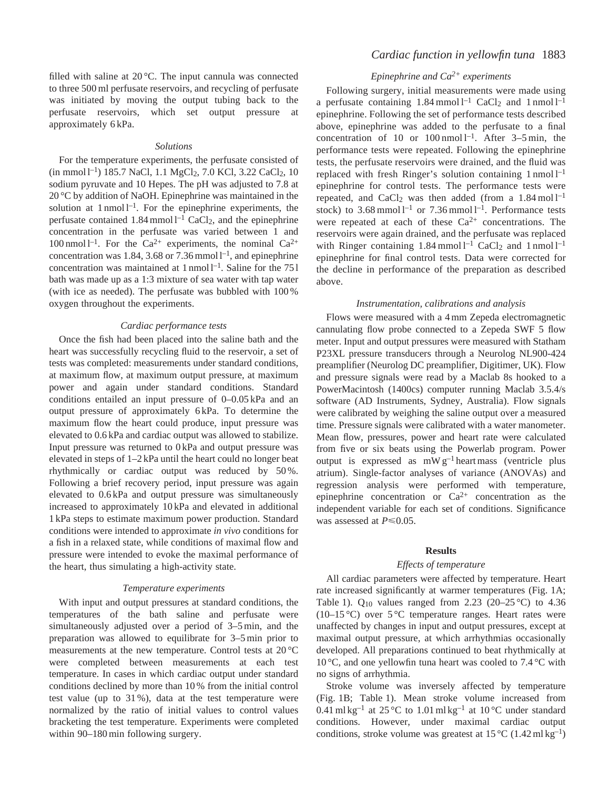filled with saline at 20 °C. The input cannula was connected to three 500 ml perfusate reservoirs, and recycling of perfusate was initiated by moving the output tubing back to the perfusate reservoirs, which set output pressure at approximately 6 kPa.

#### *Solutions*

For the temperature experiments, the perfusate consisted of  $(in mmol1^{-1})$  185.7 NaCl, 1.1 MgCl<sub>2</sub>, 7.0 KCl, 3.22 CaCl<sub>2</sub>, 10 sodium pyruvate and 10 Hepes. The pH was adjusted to 7.8 at 20 °C by addition of NaOH. Epinephrine was maintained in the solution at  $1$  nmol  $1^{-1}$ . For the epinephrine experiments, the perfusate contained  $1.84$  mmol  $l^{-1}$  CaCl<sub>2</sub>, and the epinephrine concentration in the perfusate was varied between 1 and 100 nmol  $l^{-1}$ . For the Ca<sup>2+</sup> experiments, the nominal Ca<sup>2+</sup> concentration was 1.84, 3.68 or 7.36 mmol  $l^{-1}$ , and epinephrine concentration was maintained at  $1$  nmol  $1^{-1}$ . Saline for the 751 bath was made up as a 1:3 mixture of sea water with tap water (with ice as needed). The perfusate was bubbled with 100 % oxygen throughout the experiments.

#### *Cardiac performance tests*

Once the fish had been placed into the saline bath and the heart was successfully recycling fluid to the reservoir, a set of tests was completed: measurements under standard conditions, at maximum flow, at maximum output pressure, at maximum power and again under standard conditions. Standard conditions entailed an input pressure of 0–0.05 kPa and an output pressure of approximately 6 kPa. To determine the maximum flow the heart could produce, input pressure was elevated to 0.6 kPa and cardiac output was allowed to stabilize. Input pressure was returned to 0 kPa and output pressure was elevated in steps of 1–2 kPa until the heart could no longer beat rhythmically or cardiac output was reduced by 50 %. Following a brief recovery period, input pressure was again elevated to 0.6 kPa and output pressure was simultaneously increased to approximately 10 kPa and elevated in additional 1 kPa steps to estimate maximum power production. Standard conditions were intended to approximate *in vivo* conditions for a fish in a relaxed state, while conditions of maximal flow and pressure were intended to evoke the maximal performance of the heart, thus simulating a high-activity state.

#### *Temperature experiments*

With input and output pressures at standard conditions, the temperatures of the bath saline and perfusate were simultaneously adjusted over a period of 3–5 min, and the preparation was allowed to equilibrate for 3–5 min prior to measurements at the new temperature. Control tests at 20 °C were completed between measurements at each test temperature. In cases in which cardiac output under standard conditions declined by more than 10 % from the initial control test value (up to 31 %), data at the test temperature were normalized by the ratio of initial values to control values bracketing the test temperature. Experiments were completed within 90–180 min following surgery.

# *Cardiac function in yellowfin tuna* 1883

# *Epinephrine and Ca2+ experiments*

Following surgery, initial measurements were made using a perfusate containing  $1.84 \text{ mmol } l^{-1}$  CaCl<sub>2</sub> and 1 nmol  $l^{-1}$ epinephrine. Following the set of performance tests described above, epinephrine was added to the perfusate to a final concentration of 10 or  $100 \text{ nmol}$  l<sup>-1</sup>. After 3–5 min, the performance tests were repeated. Following the epinephrine tests, the perfusate reservoirs were drained, and the fluid was replaced with fresh Ringer's solution containing  $1$  nmol  $1^{-1}$ epinephrine for control tests. The performance tests were repeated, and CaCl<sub>2</sub> was then added (from a  $1.84 \text{ mol}$ <sup>1-1</sup> stock) to  $3.68$  mmol  $1^{-1}$  or  $7.36$  mmol  $1^{-1}$ . Performance tests were repeated at each of these  $Ca^{2+}$  concentrations. The reservoirs were again drained, and the perfusate was replaced with Ringer containing  $1.84 \text{ mmol } l^{-1}$  CaCl<sub>2</sub> and 1 nmol l<sup>-1</sup> epinephrine for final control tests. Data were corrected for the decline in performance of the preparation as described above.

#### *Instrumentation, calibrations and analysis*

Flows were measured with a 4 mm Zepeda electromagnetic cannulating flow probe connected to a Zepeda SWF 5 flow meter. Input and output pressures were measured with Statham P23XL pressure transducers through a Neurolog NL900-424 preamplifier (Neurolog DC preamplifier, Digitimer, UK). Flow and pressure signals were read by a Maclab 8s hooked to a PowerMacintosh (1400cs) computer running Maclab 3.5.4/s software (AD Instruments, Sydney, Australia). Flow signals were calibrated by weighing the saline output over a measured time. Pressure signals were calibrated with a water manometer. Mean flow, pressures, power and heart rate were calculated from five or six beats using the Powerlab program. Power output is expressed as  $mW g^{-1}$  heart mass (ventricle plus atrium). Single-factor analyses of variance (ANOVAs) and regression analysis were performed with temperature, epinephrine concentration or  $Ca^{2+}$  concentration as the independent variable for each set of conditions. Significance was assessed at  $P \le 0.05$ .

### **Results**

#### *Effects of temperature*

All cardiac parameters were affected by temperature. Heart rate increased significantly at warmer temperatures (Fig. 1A; Table 1).  $Q_{10}$  values ranged from 2.23 (20–25 °C) to 4.36  $(10-15 \degree C)$  over 5 °C temperature ranges. Heart rates were unaffected by changes in input and output pressures, except at maximal output pressure, at which arrhythmias occasionally developed. All preparations continued to beat rhythmically at 10 °C, and one yellowfin tuna heart was cooled to 7.4 °C with no signs of arrhythmia.

Stroke volume was inversely affected by temperature (Fig. 1B; Table 1). Mean stroke volume increased from 0.41 ml kg<sup>-1</sup> at 25 °C to 1.01 ml kg<sup>-1</sup> at 10 °C under standard conditions. However, under maximal cardiac output conditions, stroke volume was greatest at  $15^{\circ}$ C (1.42 ml kg<sup>-1</sup>)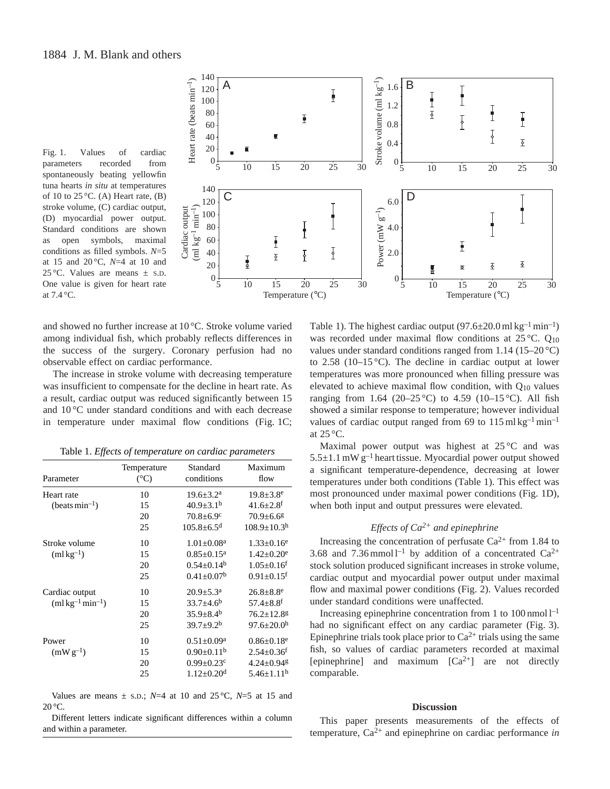



and showed no further increase at 10 °C. Stroke volume varied among individual fish, which probably reflects differences in the success of the surgery. Coronary perfusion had no observable effect on cardiac performance.

The increase in stroke volume with decreasing temperature was insufficient to compensate for the decline in heart rate. As a result, cardiac output was reduced significantly between 15 and 10 °C under standard conditions and with each decrease in temperature under maximal flow conditions (Fig. 1C;

Table 1. *Effects of temperature on cardiac parameters*

| Parameter                              | Temperature<br>$(^{\circ}C)$ | Standard<br>conditions       | Maximum<br>flow              |
|----------------------------------------|------------------------------|------------------------------|------------------------------|
| Heart rate                             | 10                           | $19.6 \pm 3.2^{\text{a}}$    | $19.8 \pm 3.8$ <sup>e</sup>  |
| $(beats min-1)$                        | 15                           | $40.9 \pm 3.1^{\rm b}$       | $41.6 \pm 2.8$ <sup>f</sup>  |
|                                        | 20                           | $70.8 \pm 6.9$ <sup>c</sup>  | $70.9 \pm 6.6$ <sup>g</sup>  |
|                                        | 25                           | $105.8 + 6.5$ <sup>d</sup>   | $108.9 + 10.3h$              |
| Stroke volume                          | 10                           | $1.01 \pm 0.08^a$            | $1.33 \pm 0.16^e$            |
| $(m1kg^{-1})$                          | 15                           | $0.85 \pm 0.15^{\text{a}}$   | $1.42 \pm 0.20^e$            |
|                                        | 20                           | $0.54 \pm 0.14^b$            | $1.05 \pm 0.16$ <sup>f</sup> |
|                                        | 25                           | $0.41 + 0.07b$               | $0.91 + 0.15$ <sup>f</sup>   |
| Cardiac output                         | 10                           | $20.9 \pm 5.3^{\text{a}}$    | $26.8 \pm 8.8$ <sup>e</sup>  |
| $(m1 \text{ kg}^{-1} \text{min}^{-1})$ | 15                           | $33.7 \pm 4.6^b$             | $57.4 \pm 8.8$ <sup>f</sup>  |
|                                        | 20                           | $35.9 \pm 8.4^{\rm b}$       | $76.2 \pm 12.8$ g            |
|                                        | 25                           | $39.7 \pm 9.2^b$             | $97.6 + 20.0h$               |
| Power                                  | 10                           | $0.51 \pm 0.09^a$            | $0.86 \pm 0.18$ <sup>e</sup> |
| $(mW g^{-1})$                          | 15                           | $0.90 \pm 0.11^b$            | $2.54 \pm 0.36$ <sup>f</sup> |
|                                        | 20                           | $0.99 \pm 0.23$ c            | $4.24 \pm 0.94$ <sup>g</sup> |
|                                        | 25                           | $1.12 \pm 0.20$ <sup>d</sup> | $5.46 \pm 1.11$ <sup>h</sup> |

Values are means  $\pm$  s.D.; *N*=4 at 10 and 25 °C, *N*=5 at 15 and 20 °C.

Different letters indicate significant differences within a column and within a parameter.

Table 1). The highest cardiac output  $(97.6\pm 20.0 \text{ ml kg}^{-1} \text{ min}^{-1})$ was recorded under maximal flow conditions at 25 °C. Q<sub>10</sub> values under standard conditions ranged from 1.14 (15–20 °C) to 2.58 (10–15 $\degree$ C). The decline in cardiac output at lower temperatures was more pronounced when filling pressure was elevated to achieve maximal flow condition, with  $Q_{10}$  values ranging from 1.64 (20–25 °C) to 4.59 (10–15 °C). All fish showed a similar response to temperature; however individual values of cardiac output ranged from 69 to  $115 \text{ ml kg}^{-1} \text{min}^{-1}$ at 25 °C.

Maximal power output was highest at 25 °C and was  $5.5\pm1.1$  mW g<sup>-1</sup> heart tissue. Myocardial power output showed a significant temperature-dependence, decreasing at lower temperatures under both conditions (Table 1). This effect was most pronounced under maximal power conditions (Fig. 1D), when both input and output pressures were elevated.

# *Effects of Ca2+ and epinephrine*

Increasing the concentration of perfusate  $Ca^{2+}$  from 1.84 to 3.68 and 7.36 mmol  $l^{-1}$  by addition of a concentrated Ca<sup>2+</sup> stock solution produced significant increases in stroke volume, cardiac output and myocardial power output under maximal flow and maximal power conditions (Fig. 2). Values recorded under standard conditions were unaffected.

Increasing epinephrine concentration from 1 to  $100 \text{ nmol } l^{-1}$ had no significant effect on any cardiac parameter (Fig. 3). Epinephrine trials took place prior to  $Ca^{2+}$  trials using the same fish, so values of cardiac parameters recorded at maximal [epinephrine] and maximum  $[Ca^{2+}]$  are not directly comparable.

### **Discussion**

This paper presents measurements of the effects of temperature, Ca2+ and epinephrine on cardiac performance *in*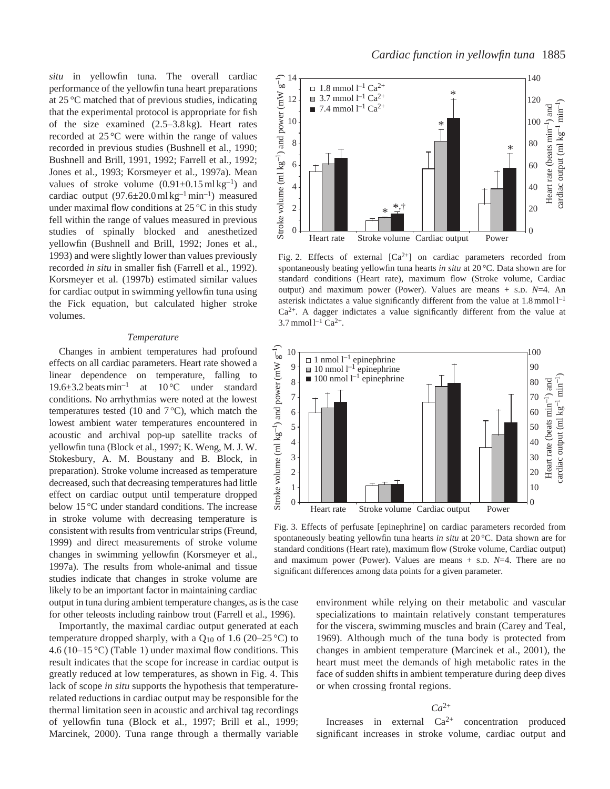*situ* in yellowfin tuna. The overall cardiac performance of the yellowfin tuna heart preparations at 25 °C matched that of previous studies, indicating that the experimental protocol is appropriate for fish of the size examined (2.5–3.8 kg). Heart rates recorded at 25 °C were within the range of values recorded in previous studies (Bushnell et al., 1990; Bushnell and Brill, 1991, 1992; Farrell et al., 1992; Jones et al., 1993; Korsmeyer et al., 1997a). Mean values of stroke volume  $(0.91\pm0.15 \text{ m} \text{ kg}^{-1})$  and cardiac output  $(97.6 \pm 20.0 \text{ ml kg}^{-1} \text{ min}^{-1})$  measured under maximal flow conditions at 25 °C in this study fell within the range of values measured in previous studies of spinally blocked and anesthetized yellowfin (Bushnell and Brill, 1992; Jones et al., 1993) and were slightly lower than values previously recorded *in situ* in smaller fish (Farrell et al., 1992). Korsmeyer et al. (1997b) estimated similar values for cardiac output in swimming yellowfin tuna using the Fick equation, but calculated higher stroke volumes.

#### *Temperature*

Changes in ambient temperatures had profound effects on all cardiac parameters. Heart rate showed a linear dependence on temperature, falling to 19.6 $\pm$ 3.2 beats min<sup>-1</sup> at 10 °C under standard conditions. No arrhythmias were noted at the lowest temperatures tested (10 and  $7^{\circ}$ C), which match the lowest ambient water temperatures encountered in acoustic and archival pop-up satellite tracks of yellowfin tuna (Block et al., 1997; K. Weng, M. J. W. Stokesbury, A. M. Boustany and B. Block, in preparation). Stroke volume increased as temperature decreased, such that decreasing temperatures had little effect on cardiac output until temperature dropped below 15 °C under standard conditions. The increase in stroke volume with decreasing temperature is consistent with results from ventricular strips (Freund, 1999) and direct measurements of stroke volume changes in swimming yellowfin (Korsmeyer et al., 1997a). The results from whole-animal and tissue studies indicate that changes in stroke volume are likely to be an important factor in maintaining cardiac

output in tuna during ambient temperature changes, as is the case for other teleosts including rainbow trout (Farrell et al., 1996).

Importantly, the maximal cardiac output generated at each temperature dropped sharply, with a  $Q_{10}$  of 1.6 (20–25 °C) to 4.6 (10–15 °C) (Table 1) under maximal flow conditions. This result indicates that the scope for increase in cardiac output is greatly reduced at low temperatures, as shown in Fig. 4. This lack of scope *in situ* supports the hypothesis that temperaturerelated reductions in cardiac output may be responsible for the thermal limitation seen in acoustic and archival tag recordings of yellowfin tuna (Block et al., 1997; Brill et al., 1999; Marcinek, 2000). Tuna range through a thermally variable



Fig. 2. Effects of external  $[Ca^{2+}]$  on cardiac parameters recorded from spontaneously beating yellowfin tuna hearts *in situ* at 20 °C. Data shown are for standard conditions (Heart rate), maximum flow (Stroke volume, Cardiac output) and maximum power (Power). Values are means + S.D. *N*=4. An asterisk indictates a value significantly different from the value at 1.8 mmol l–1  $Ca<sup>2+</sup>$ . A dagger indictates a value significantly different from the value at  $3.7$  mmol  $l^{-1}$  Ca<sup>2+</sup>.



Fig. 3. Effects of perfusate [epinephrine] on cardiac parameters recorded from spontaneously beating yellowfin tuna hearts *in situ* at 20 °C. Data shown are for standard conditions (Heart rate), maximum flow (Stroke volume, Cardiac output) and maximum power (Power). Values are means + S.D. *N*=4. There are no significant differences among data points for a given parameter.

environment while relying on their metabolic and vascular specializations to maintain relatively constant temperatures for the viscera, swimming muscles and brain (Carey and Teal, 1969). Although much of the tuna body is protected from changes in ambient temperature (Marcinek et al., 2001), the heart must meet the demands of high metabolic rates in the face of sudden shifts in ambient temperature during deep dives or when crossing frontal regions.

# $Ca^{2+}$

Increases in external  $Ca^{2+}$  concentration produced significant increases in stroke volume, cardiac output and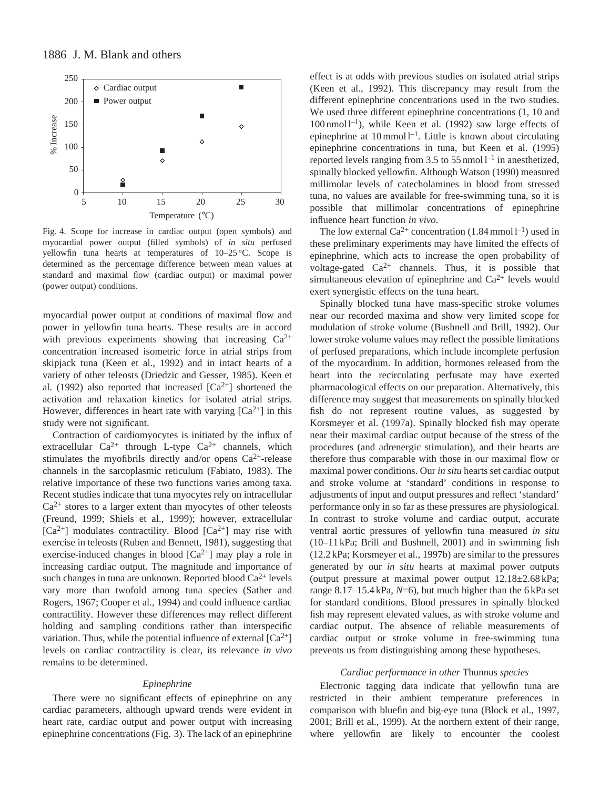

Fig. 4. Scope for increase in cardiac output (open symbols) and myocardial power output (filled symbols) of *in situ* perfused yellowfin tuna hearts at temperatures of 10–25 °C. Scope is determined as the percentage difference between mean values at standard and maximal flow (cardiac output) or maximal power (power output) conditions.

myocardial power output at conditions of maximal flow and power in yellowfin tuna hearts. These results are in accord with previous experiments showing that increasing  $Ca^{2+}$ concentration increased isometric force in atrial strips from skipjack tuna (Keen et al., 1992) and in intact hearts of a variety of other teleosts (Driedzic and Gesser, 1985). Keen et al. (1992) also reported that increased  $[Ca^{2+}]$  shortened the activation and relaxation kinetics for isolated atrial strips. However, differences in heart rate with varying  $[Ca^{2+}]$  in this study were not significant.

Contraction of cardiomyocytes is initiated by the influx of extracellular  $Ca^{2+}$  through L-type  $Ca^{2+}$  channels, which stimulates the myofibrils directly and/or opens  $Ca^{2+}$ -release channels in the sarcoplasmic reticulum (Fabiato, 1983). The relative importance of these two functions varies among taxa. Recent studies indicate that tuna myocytes rely on intracellular  $Ca<sup>2+</sup>$  stores to a larger extent than myocytes of other teleosts (Freund, 1999; Shiels et al., 1999); however, extracellular  $[Ca^{2+}]$  modulates contractility. Blood  $[Ca^{2+}]$  may rise with exercise in teleosts (Ruben and Bennett, 1981), suggesting that exercise-induced changes in blood  $[Ca^{2+}]$  may play a role in increasing cardiac output. The magnitude and importance of such changes in tuna are unknown. Reported blood  $Ca^{2+}$  levels vary more than twofold among tuna species (Sather and Rogers, 1967; Cooper et al., 1994) and could influence cardiac contractility. However these differences may reflect different holding and sampling conditions rather than interspecific variation. Thus, while the potential influence of external  $[Ca^{2+}]$ levels on cardiac contractility is clear, its relevance *in vivo* remains to be determined.

### *Epinephrine*

There were no significant effects of epinephrine on any cardiac parameters, although upward trends were evident in heart rate, cardiac output and power output with increasing epinephrine concentrations (Fig. 3). The lack of an epinephrine effect is at odds with previous studies on isolated atrial strips (Keen et al., 1992). This discrepancy may result from the different epinephrine concentrations used in the two studies. We used three different epinephrine concentrations (1, 10 and  $100 \text{ nmol } 1^{-1}$ ), while Keen et al. (1992) saw large effects of epinephrine at 10 mmol l–1. Little is known about circulating epinephrine concentrations in tuna, but Keen et al. (1995) reported levels ranging from 3.5 to 55 nmol  $l^{-1}$  in anesthetized, spinally blocked yellowfin. Although Watson (1990) measured millimolar levels of catecholamines in blood from stressed tuna, no values are available for free-swimming tuna, so it is possible that millimolar concentrations of epinephrine influence heart function *in vivo*.

The low external  $Ca^{2+}$  concentration (1.84 mmol  $l^{-1}$ ) used in these preliminary experiments may have limited the effects of epinephrine, which acts to increase the open probability of voltage-gated  $Ca^{2+}$  channels. Thus, it is possible that simultaneous elevation of epinephrine and  $Ca^{2+}$  levels would exert synergistic effects on the tuna heart.

Spinally blocked tuna have mass-specific stroke volumes near our recorded maxima and show very limited scope for modulation of stroke volume (Bushnell and Brill, 1992). Our lower stroke volume values may reflect the possible limitations of perfused preparations, which include incomplete perfusion of the myocardium. In addition, hormones released from the heart into the recirculating perfusate may have exerted pharmacological effects on our preparation. Alternatively, this difference may suggest that measurements on spinally blocked fish do not represent routine values, as suggested by Korsmeyer et al. (1997a). Spinally blocked fish may operate near their maximal cardiac output because of the stress of the procedures (and adrenergic stimulation), and their hearts are therefore thus comparable with those in our maximal flow or maximal power conditions. Our *in situ* hearts set cardiac output and stroke volume at 'standard' conditions in response to adjustments of input and output pressures and reflect 'standard' performance only in so far as these pressures are physiological. In contrast to stroke volume and cardiac output, accurate ventral aortic pressures of yellowfin tuna measured *in situ* (10–11 kPa; Brill and Bushnell, 2001) and in swimming fish (12.2 kPa; Korsmeyer et al., 1997b) are similar to the pressures generated by our *in situ* hearts at maximal power outputs (output pressure at maximal power output  $12.18 \pm 2.68$  kPa; range 8.17–15.4 kPa, *N*=6), but much higher than the 6 kPa set for standard conditions. Blood pressures in spinally blocked fish may represent elevated values, as with stroke volume and cardiac output. The absence of reliable measurements of cardiac output or stroke volume in free-swimming tuna prevents us from distinguishing among these hypotheses.

#### *Cardiac performance in other* Thunnus *species*

Electronic tagging data indicate that yellowfin tuna are restricted in their ambient temperature preferences in comparison with bluefin and big-eye tuna (Block et al., 1997, 2001; Brill et al., 1999). At the northern extent of their range, where yellowfin are likely to encounter the coolest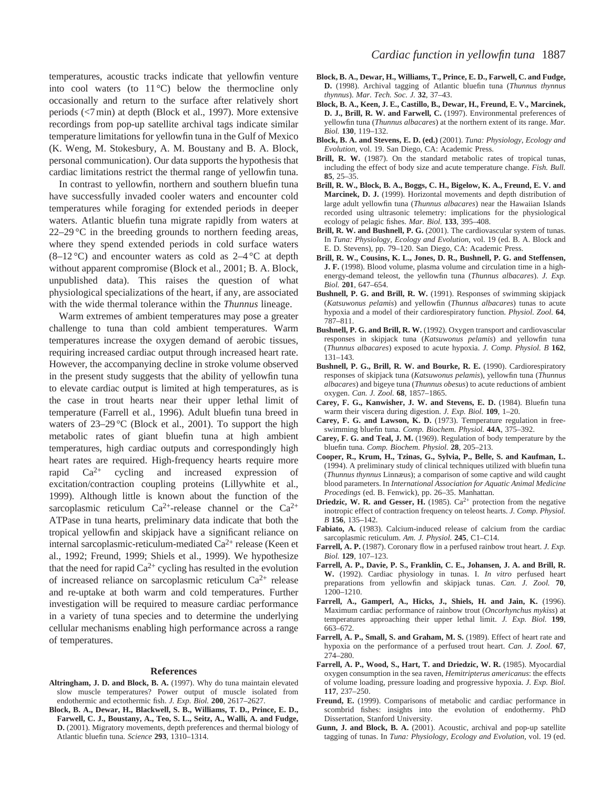temperatures, acoustic tracks indicate that yellowfin venture into cool waters (to  $11^{\circ}$ C) below the thermocline only occasionally and return to the surface after relatively short periods (<7 min) at depth (Block et al., 1997). More extensive recordings from pop-up satellite archival tags indicate similar temperature limitations for yellowfin tuna in the Gulf of Mexico (K. Weng, M. Stokesbury, A. M. Boustany and B. A. Block, personal communication). Our data supports the hypothesis that cardiac limitations restrict the thermal range of yellowfin tuna.

In contrast to yellowfin, northern and southern bluefin tuna have successfully invaded cooler waters and encounter cold temperatures while foraging for extended periods in deeper waters. Atlantic bluefin tuna migrate rapidly from waters at  $22-29$  °C in the breeding grounds to northern feeding areas, where they spend extended periods in cold surface waters  $(8-12 \degree C)$  and encounter waters as cold as  $2-4 \degree C$  at depth without apparent compromise (Block et al., 2001; B. A. Block, unpublished data). This raises the question of what physiological specializations of the heart, if any, are associated with the wide thermal tolerance within the *Thunnus* lineage.

Warm extremes of ambient temperatures may pose a greater challenge to tuna than cold ambient temperatures. Warm temperatures increase the oxygen demand of aerobic tissues, requiring increased cardiac output through increased heart rate. However, the accompanying decline in stroke volume observed in the present study suggests that the ability of yellowfin tuna to elevate cardiac output is limited at high temperatures, as is the case in trout hearts near their upper lethal limit of temperature (Farrell et al., 1996). Adult bluefin tuna breed in waters of 23–29 °C (Block et al., 2001). To support the high metabolic rates of giant bluefin tuna at high ambient temperatures, high cardiac outputs and correspondingly high heart rates are required. High-frequency hearts require more rapid  $Ca^{2+}$  cycling and increased expression of excitation/contraction coupling proteins (Lillywhite et al., 1999). Although little is known about the function of the sarcoplasmic reticulum  $Ca^{2+}$ -release channel or the  $Ca^{2+}$ ATPase in tuna hearts, preliminary data indicate that both the tropical yellowfin and skipjack have a significant reliance on internal sarcoplasmic-reticulum-mediated  $Ca^{2+}$  release (Keen et al., 1992; Freund, 1999; Shiels et al., 1999). We hypothesize that the need for rapid  $Ca^{2+}$  cycling has resulted in the evolution of increased reliance on sarcoplasmic reticulum  $Ca^{2+}$  release and re-uptake at both warm and cold temperatures. Further investigation will be required to measure cardiac performance in a variety of tuna species and to determine the underlying cellular mechanisms enabling high performance across a range of temperatures.

#### **References**

- **Altringham, J. D. and Block, B. A.** (1997). Why do tuna maintain elevated slow muscle temperatures? Power output of muscle isolated from endothermic and ectothermic fish. *J. Exp. Biol.* **200**, 2617–2627.
- **Block, B. A., Dewar, H., Blackwell, S. B., Williams, T. D., Prince, E. D., Farwell, C. J., Boustany, A., Teo, S. L., Seitz, A., Walli, A. and Fudge, D.** (2001). Migratory movements, depth preferences and thermal biology of Atlantic bluefin tuna. *Science* **293**, 1310–1314.
- **Block, B. A., Dewar, H., Williams, T., Prince, E. D., Farwell, C. and Fudge, D.** (1998). Archival tagging of Atlantic bluefin tuna (*Thunnus thynnus thynnus*). *Mar. Tech. Soc. J.* **32**, 37–43.
- **Block, B. A., Keen, J. E., Castillo, B., Dewar, H., Freund, E. V., Marcinek, D. J., Brill, R. W. and Farwell, C.** (1997). Environmental preferences of yellowfin tuna (*Thunnus albacares*) at the northern extent of its range. *Mar. Biol.* **130**, 119–132.
- **Block, B. A. and Stevens, E. D. (ed.)** (2001). *Tuna: Physiology, Ecology and Evolution*, vol. 19. San Diego, CA: Academic Press.
- **Brill, R. W.** (1987). On the standard metabolic rates of tropical tunas, including the effect of body size and acute temperature change. *Fish. Bull.* **85**, 25–35.
- **Brill, R. W., Block, B. A., Boggs, C. H., Bigelow, K. A., Freund, E. V. and Marcinek, D. J.** (1999). Horizontal movements and depth distribution of large adult yellowfin tuna (*Thunnus albacares*) near the Hawaiian Islands recorded using ultrasonic telemetry: implications for the physiological ecology of pelagic fishes. *Mar. Biol.* **133**, 395–408.
- **Brill, R. W. and Bushnell, P. G.** (2001). The cardiovascular system of tunas. In *Tuna: Physiology, Ecology and Evolution*, vol. 19 (ed. B. A. Block and E. D. Stevens), pp. 79–120. San Diego, CA: Academic Press.
- **Brill, R. W., Cousins, K. L., Jones, D. R., Bushnell, P. G. and Steffensen, J. F.** (1998). Blood volume, plasma volume and circulation time in a highenergy-demand teleost, the yellowfin tuna (*Thunnus albacares*). *J. Exp. Biol.* **201**, 647–654.
- **Bushnell, P. G. and Brill, R. W.** (1991). Responses of swimming skipjack (*Katsuwonus pelamis*) and yellowfin (*Thunnus albacares*) tunas to acute hypoxia and a model of their cardiorespiratory function. *Physiol. Zool.* **64**, 787–811.
- **Bushnell, P. G. and Brill, R. W.** (1992). Oxygen transport and cardiovascular responses in skipjack tuna (*Katsuwonus pelamis*) and yellowfin tuna (*Thunnus albacares*) exposed to acute hypoxia. *J. Comp. Physiol. B* **162**, 131–143.
- **Bushnell, P. G., Brill, R. W. and Bourke, R. E.** (1990). Cardiorespiratory responses of skipjack tuna (*Katsuwonus pelamis*), yellowfin tuna (*Thunnus albacares*) and bigeye tuna (*Thunnus obesus*) to acute reductions of ambient oxygen. *Can. J. Zool.* **68**, 1857–1865.
- **Carey, F. G., Kanwisher, J. W. and Stevens, E. D.** (1984). Bluefin tuna warm their viscera during digestion. *J. Exp. Biol.* **109**, 1–20.
- **Carey, F. G. and Lawson, K. D.** (1973). Temperature regulation in freeswimming bluefin tuna. *Comp. Biochem. Physiol.* **44A**, 375–392.
- **Carey, F. G. and Teal, J. M.** (1969). Regulation of body temperature by the bluefin tuna. *Comp. Biochem. Physiol.* **28**, 205–213.
- **Cooper, R., Krum, H., Tzinas, G., Sylvia, P., Belle, S. and Kaufman, L.** (1994). A preliminary study of clinical techniques utilized with bluefin tuna (*Thunnus thynnus* Linnæus); a comparison of some captive and wild caught blood parameters. In *International Association for Aquatic Animal Medicine Procedings* (ed. B. Fenwick), pp. 26–35. Manhattan.
- **Driedzic, W. R. and Gesser, H.** (1985).  $Ca^{2+}$  protection from the negative inotropic effect of contraction frequency on teleost hearts. *J. Comp. Physiol. B* **156**, 135–142.
- **Fabiato, A.** (1983). Calcium-induced release of calcium from the cardiac sarcoplasmic reticulum. *Am. J. Physiol.* **245**, C1–C14.
- **Farrell, A. P.** (1987). Coronary flow in a perfused rainbow trout heart. *J. Exp. Biol.* **129**, 107–123.
- **Farrell, A. P., Davie, P. S., Franklin, C. E., Johansen, J. A. and Brill, R. W.** (1992). Cardiac physiology in tunas. I. *In vitro* perfused heart preparations from yellowfin and skipjack tunas. *Can. J. Zool.* **70**, 1200–1210.
- **Farrell, A., Gamperl, A., Hicks, J., Shiels, H. and Jain, K.** (1996). Maximum cardiac performance of rainbow trout (*Oncorhynchus mykiss*) at temperatures approaching their upper lethal limit. *J. Exp. Biol.* **199**, 663–672.
- **Farrell, A. P., Small, S. and Graham, M. S.** (1989). Effect of heart rate and hypoxia on the performance of a perfused trout heart. *Can. J. Zool.* **67**, 274–280.
- **Farrell, A. P., Wood, S., Hart, T. and Driedzic, W. R.** (1985). Myocardial oxygen consumption in the sea raven, *Hemitripterus americanus*: the effects of volume loading, pressure loading and progressive hypoxia. *J. Exp. Biol.* **117**, 237–250.
- **Freund, E.** (1999). Comparisons of metabolic and cardiac performance in scombrid fishes: insights into the evolution of endothermy. PhD Dissertation, Stanford University.
- **Gunn, J. and Block, B. A.** (2001). Acoustic, archival and pop-up satellite tagging of tunas. In *Tuna: Physiology, Ecology and Evolution*, vol. 19 (ed.